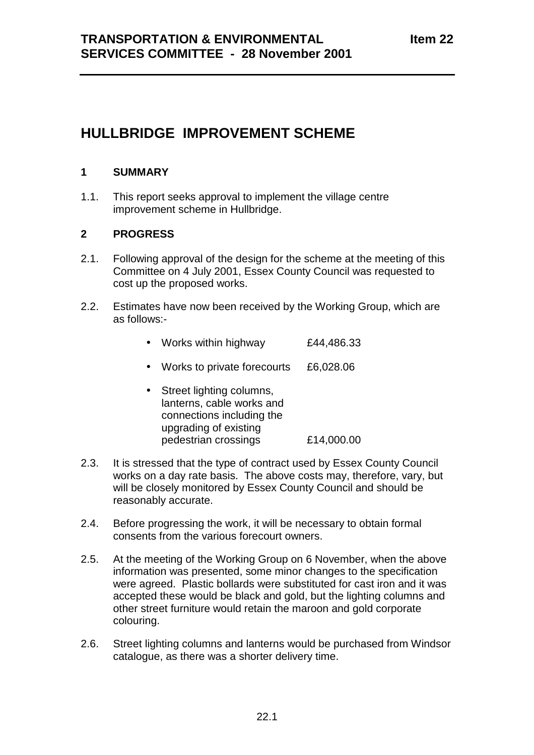# **HULLBRIDGE IMPROVEMENT SCHEME**

### **1 SUMMARY**

1.1. This report seeks approval to implement the village centre improvement scheme in Hullbridge.

## **2 PROGRESS**

- 2.1. Following approval of the design for the scheme at the meeting of this Committee on 4 July 2001, Essex County Council was requested to cost up the proposed works.
- 2.2. Estimates have now been received by the Working Group, which are as follows:-

|  |  |  | Works within highway | £44,486.33 |
|--|--|--|----------------------|------------|
|--|--|--|----------------------|------------|

- Works to private forecourts £6,028.06
- Street lighting columns, lanterns, cable works and connections including the upgrading of existing pedestrian crossings £14,000.00
- 2.3. It is stressed that the type of contract used by Essex County Council works on a day rate basis. The above costs may, therefore, vary, but will be closely monitored by Essex County Council and should be reasonably accurate.
- 2.4. Before progressing the work, it will be necessary to obtain formal consents from the various forecourt owners.
- 2.5. At the meeting of the Working Group on 6 November, when the above information was presented, some minor changes to the specification were agreed. Plastic bollards were substituted for cast iron and it was accepted these would be black and gold, but the lighting columns and other street furniture would retain the maroon and gold corporate colouring.
- 2.6. Street lighting columns and lanterns would be purchased from Windsor catalogue, as there was a shorter delivery time.